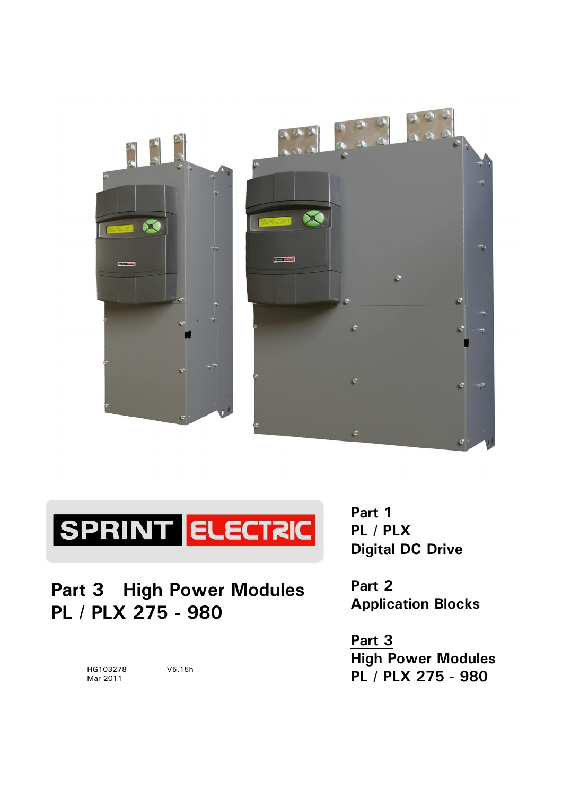



**Part 3 High Power Modules PL / PLX 275 - 980**

> HG103278 V5.15h Mar 2011

**Part 1 PL / PLX Digital DC Drive** 

**Part 2 Application Blocks** 

**Part 3 High Power Modules PL / PLX 275 - 980**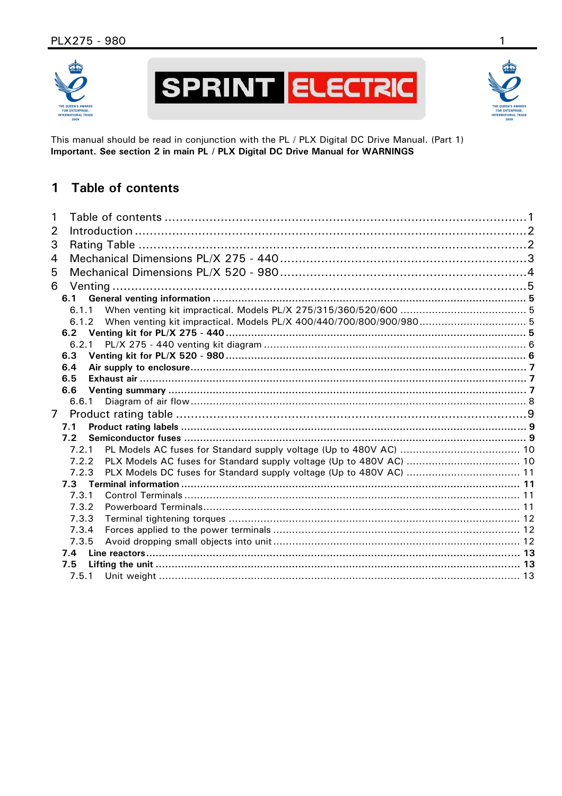



This manual should be read in conjunction with the PL / PLX Digital DC Drive Manual. (Part 1) Important. See section 2 in main PL / PLX Digital DC Drive Manual for WARNINGS

#### $\mathbf{1}$ **Table of contents**

| 1              |  |
|----------------|--|
| 2              |  |
| 3              |  |
| 4              |  |
| 5              |  |
| 6              |  |
| 6.1            |  |
| 6.1.1          |  |
| 6.1.2          |  |
| 6.2            |  |
| 6.2.1          |  |
| 6.3            |  |
| 6.4            |  |
| 6.5            |  |
| 6.6            |  |
| 6.6.1          |  |
| $\overline{7}$ |  |
| 7.1            |  |
| 7.2            |  |
| 7.2.1          |  |
| 7.2.2          |  |
| 7.2.3          |  |
|                |  |
| 7.3.1          |  |
| 7.3.2<br>7.3.3 |  |
| 7.3.4          |  |
| 7.3.5          |  |
| 7.4            |  |
| 7.5            |  |
| 7.5.1          |  |
|                |  |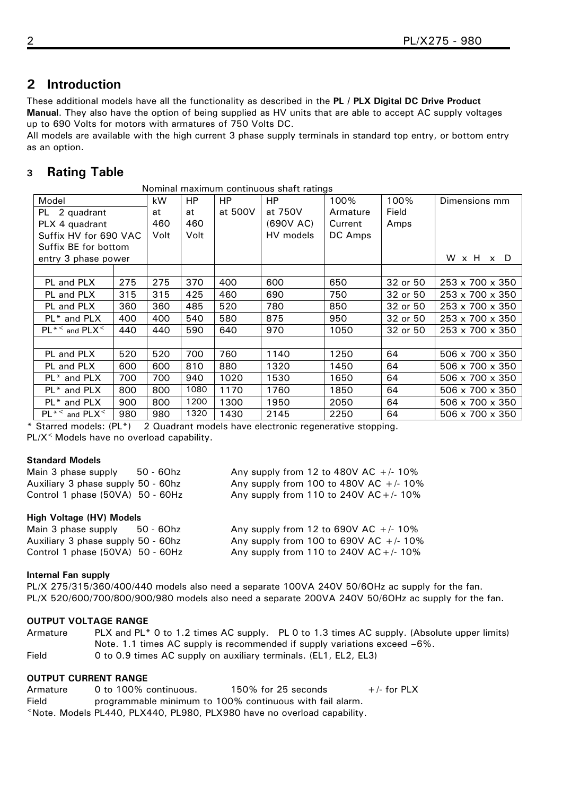# <span id="page-3-0"></span>**2 Introduction**

These additional models have all the functionality as described in the **PL / PLX Digital DC Drive Product Manual**. They also have the option of being supplied as HV units that are able to accept AC supply voltages up to 690 Volts for motors with armatures of 750 Volts DC.

All models are available with the high current 3 phase supply terminals in standard top entry, or bottom entry as an option.

## **3 Rating Table**

| Nominal maximum continuous shaft ratings |     |      |      |         |           |          |          |                             |
|------------------------------------------|-----|------|------|---------|-----------|----------|----------|-----------------------------|
| Model                                    |     | kW   | HP   | HP.     | HP        | 100%     | 100%     | Dimensions mm               |
| PL 2 quadrant                            |     | at   | at   | at 500V | at 750V   | Armature | Field    |                             |
| PLX 4 quadrant                           |     | 460  | 460  |         | (690V AC) | Current  | Amps     |                             |
| Suffix HV for 690 VAC                    |     | Volt | Volt |         | HV models | DC Amps  |          |                             |
| Suffix BE for bottom                     |     |      |      |         |           |          |          |                             |
| entry 3 phase power                      |     |      |      |         |           |          |          | W x H x D                   |
|                                          |     |      |      |         |           |          |          |                             |
| PL and PLX                               | 275 | 275  | 370  | 400     | 600       | 650      | 32 or 50 | 253 x 700 x 350             |
| PL and PLX                               | 315 | 315  | 425  | 460     | 690       | 750      | 32 or 50 | 253 x 700 x 350             |
| PL and PLX                               | 360 | 360  | 485  | 520     | 780       | 850      | 32 or 50 | 253 x 700 x 350             |
| PL <sup>*</sup> and PLX                  | 400 | 400  | 540  | 580     | 875       | 950      | 32 or 50 | 253 x 700 x 350             |
| $PL^*$ and $PLX^<$                       | 440 | 440  | 590  | 640     | 970       | 1050     | 32 or 50 | 253 x 700 x 350             |
|                                          |     |      |      |         |           |          |          |                             |
| PL and PLX                               | 520 | 520  | 700  | 760     | 1140      | 1250     | 64       | 506 x 700 x 350             |
| PL and PLX                               | 600 | 600  | 810  | 880     | 1320      | 1450     | 64       | 506 x 700 x 350             |
| PL* and PLX                              | 700 | 700  | 940  | 1020    | 1530      | 1650     | 64       | 506 x 700 x 350             |
| PL <sup>*</sup> and PLX                  | 800 | 800  | 1080 | 1170    | 1760      | 1850     | 64       | 506 x 700 x 350             |
| PL <sup>*</sup> and PLX                  | 900 | 800  | 1200 | 1300    | 1950      | 2050     | 64       | 506 x 700 x 350             |
| $PL^*$ and $PLX^<$                       | 980 | 980  | 1320 | 1430    | 2145      | 2250     | 64       | $506 \times 700 \times 350$ |

\* Starred models: (PL\*) 2 Quadrant models have electronic regenerative stopping. PL/X< Models have no overload capability.

## **Standard Models**

| Main 3 phase supply                | 50 - 60hz | Any supply from 12 to 480V AC $+/- 10\%$   |
|------------------------------------|-----------|--------------------------------------------|
| Auxiliary 3 phase supply 50 - 60hz |           | Any supply from 100 to 480V AC $+/- 10\%$  |
| Control 1 phase (50VA) 50 - 60Hz   |           | Any supply from 110 to 240V AC + $/$ - 10% |

## **High Voltage (HV) Models**

| Main 3 phase supply                | 50 - 60hz | Any supply from 12 to 690V AC $+/- 10\%$  |
|------------------------------------|-----------|-------------------------------------------|
| Auxiliary 3 phase supply 50 - 60hz |           | Any supply from 100 to 690V AC $+/- 10\%$ |
| Control 1 phase (50VA) 50 - 60Hz   |           | Any supply from 110 to 240V AC +/- 10%    |

## **Internal Fan supply**

PL/X 275/315/360/400/440 models also need a separate 100VA 240V 50/6OHz ac supply for the fan. PL/X 520/600/700/800/900/980 models also need a separate 200VA 240V 50/6OHz ac supply for the fan.

## **OUTPUT VOLTAGE RANGE**

Armature PLX and PL\* 0 to 1.2 times AC supply. PL 0 to 1.3 times AC supply. (Absolute upper limits) Note. 1.1 times AC supply is recommended if supply variations exceed  $-6\%$ . Field 0 to 0.9 times AC supply on auxiliary terminals. (EL1, EL2, EL3)

## **OUTPUT CURRENT RANGE**

| Armature | 0 to 100% continuous. | 150% for 25 seconds                                                    | $+$ /- for PLX |
|----------|-----------------------|------------------------------------------------------------------------|----------------|
| Field    |                       | programmable minimum to 100% continuous with fail alarm.               |                |
|          |                       | Note. Models PL440, PLX440, PL980, PLX980 have no overload capability. |                |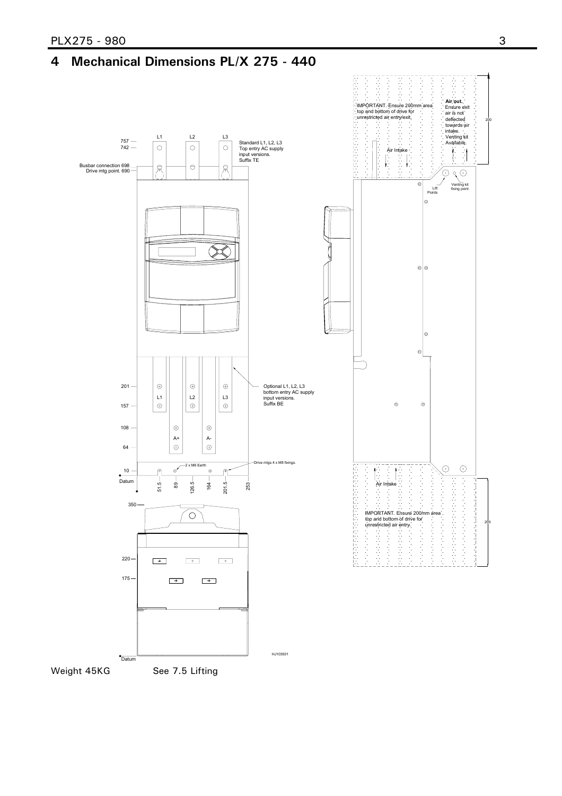# <span id="page-4-0"></span>**4 Mechanical Dimensions PL/X 275 - 440**



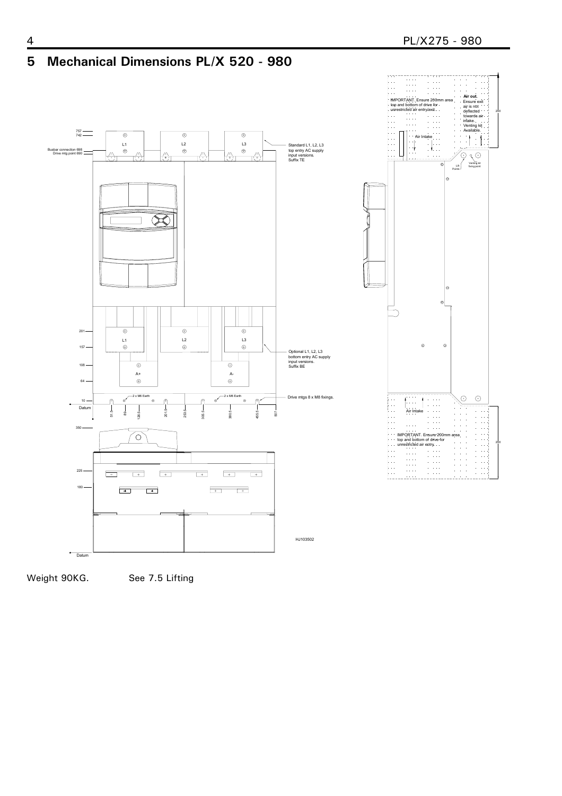<span id="page-5-0"></span>

200

200



Weight 90KG. See 7.5 Lifting

Datum

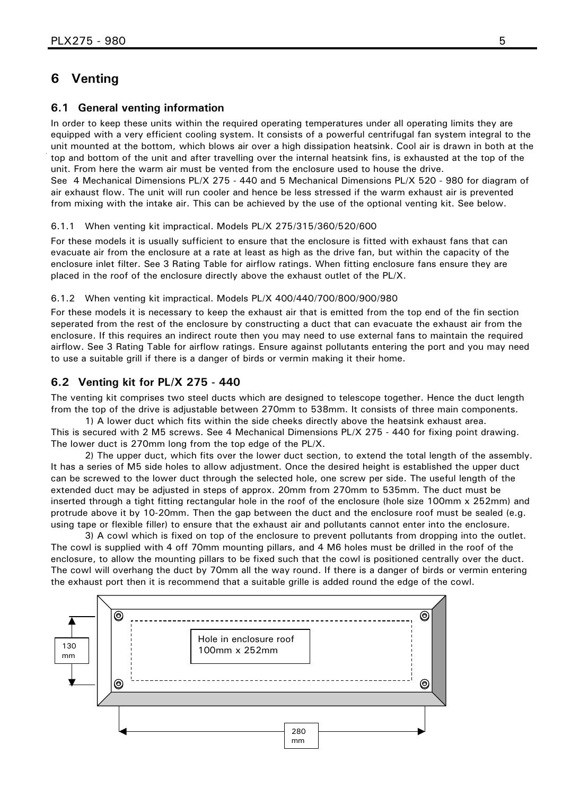## <span id="page-6-0"></span>**6 Venting**

#### **6.1 General venting information**

In order to keep these units within the required operating temperatures under all operating limits they are equipped with a very efficient cooling system. It consists of a powerful centrifugal fan system integral to the unit mounted at the bottom, which blows air over a high dissipation heatsink. Cool air is drawn in both at the top and bottom of the unit and after travelling over the internal heatsink fins, is exhausted at the top of the unit. From here the warm air must be vented from the enclosure used to house the drive.

See [4 Mechanical Dimensions PL/X 275 - 440](#page-4-0) and [5 Mechanical Dimensions PL/X 520 - 980](#page-5-0) for diagram of air exhaust flow. The unit will run cooler and hence be less stressed if the warm exhaust air is prevented from mixing with the intake air. This can be achieved by the use of the optional venting kit. See below.

#### 6.1.1 When venting kit impractical. Models PL/X 275/315/360/520/600

For these models it is usually sufficient to ensure that the enclosure is fitted with exhaust fans that can evacuate air from the enclosure at a rate at least as high as the drive fan, but within the capacity of the enclosure inlet filter. See [3 Rating Table](#page-3-0) for airflow ratings. When fitting enclosure fans ensure they are placed in the roof of the enclosure directly above the exhaust outlet of the PL/X.

#### 6.1.2 When venting kit impractical. Models PL/X 400/440/700/800/900/980

For these models it is necessary to keep the exhaust air that is emitted from the top end of the fin section seperated from the rest of the enclosure by constructing a duct that can evacuate the exhaust air from the enclosure. If this requires an indirect route then you may need to use external fans to maintain the required airflow. See [3 Rating Table](#page-3-0) for airflow ratings. Ensure against pollutants entering the port and you may need to use a suitable grill if there is a danger of birds or vermin making it their home.

#### **6.2 Venting kit for PL/X 275 - 440**

The venting kit comprises two steel ducts which are designed to telescope together. Hence the duct length from the top of the drive is adjustable between 270mm to 538mm. It consists of three main components.

1) A lower duct which fits within the side cheeks directly above the heatsink exhaust area. This is secured with 2 M5 screws. See [4 Mechanical Dimensions PL/X 275 - 440](#page-4-0) for fixing point drawing. The lower duct is 270mm long from the top edge of the PL/X.

2) The upper duct, which fits over the lower duct section, to extend the total length of the assembly. It has a series of M5 side holes to allow adjustment. Once the desired height is established the upper duct can be screwed to the lower duct through the selected hole, one screw per side. The useful length of the extended duct may be adjusted in steps of approx. 20mm from 270mm to 535mm. The duct must be inserted through a tight fitting rectangular hole in the roof of the enclosure (hole size 100mm x 252mm) and protrude above it by 10-20mm. Then the gap between the duct and the enclosure roof must be sealed (e.g. using tape or flexible filler) to ensure that the exhaust air and pollutants cannot enter into the enclosure.

3) A cowl which is fixed on top of the enclosure to prevent pollutants from dropping into the outlet. The cowl is supplied with 4 off 70mm mounting pillars, and 4 M6 holes must be drilled in the roof of the enclosure, to allow the mounting pillars to be fixed such that the cowl is positioned centrally over the duct. The cowl will overhang the duct by 70mm all the way round. If there is a danger of birds or vermin entering the exhaust port then it is recommend that a suitable grille is added round the edge of the cowl.

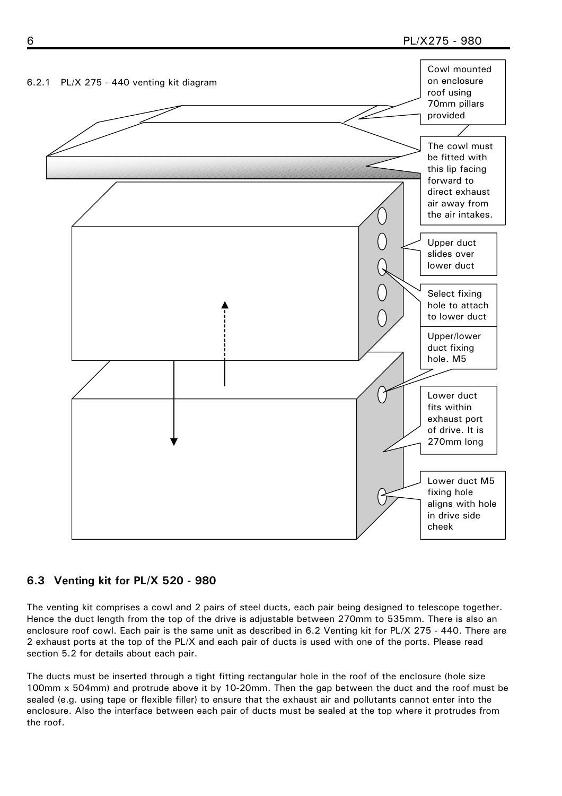<span id="page-7-0"></span>

## **6.3 Venting kit for PL/X 520 - 980**

The venting kit comprises a cowl and 2 pairs of steel ducts, each pair being designed to telescope together. Hence the duct length from the top of the drive is adjustable between 270mm to 535mm. There is also an enclosure roof cowl. Each pair is the same unit as described in [6.2 Venting kit for PL/X 275 - 440.](#page-6-0) There are 2 exhaust ports at the top of the PL/X and each pair of ducts is used with one of the ports. Please read section 5.2 for details about each pair.

The ducts must be inserted through a tight fitting rectangular hole in the roof of the enclosure (hole size 100mm x 504mm) and protrude above it by 10-20mm. Then the gap between the duct and the roof must be sealed (e.g. using tape or flexible filler) to ensure that the exhaust air and pollutants cannot enter into the enclosure. Also the interface between each pair of ducts must be sealed at the top where it protrudes from the roof.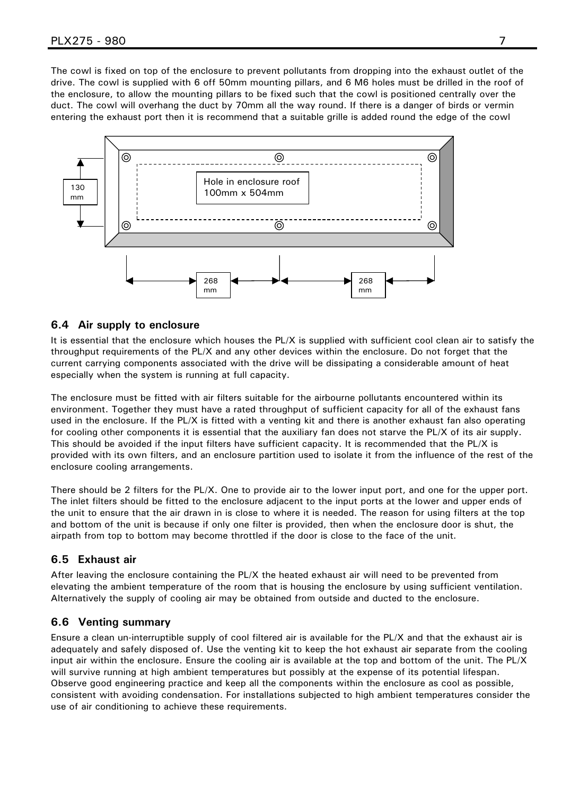<span id="page-8-0"></span>The cowl is fixed on top of the enclosure to prevent pollutants from dropping into the exhaust outlet of the drive. The cowl is supplied with 6 off 50mm mounting pillars, and 6 M6 holes must be drilled in the roof of the enclosure, to allow the mounting pillars to be fixed such that the cowl is positioned centrally over the duct. The cowl will overhang the duct by 70mm all the way round. If there is a danger of birds or vermin entering the exhaust port then it is recommend that a suitable grille is added round the edge of the cowl



#### **6.4 Air supply to enclosure**

It is essential that the enclosure which houses the PL/X is supplied with sufficient cool clean air to satisfy the throughput requirements of the PL/X and any other devices within the enclosure. Do not forget that the current carrying components associated with the drive will be dissipating a considerable amount of heat especially when the system is running at full capacity.

The enclosure must be fitted with air filters suitable for the airbourne pollutants encountered within its environment. Together they must have a rated throughput of sufficient capacity for all of the exhaust fans used in the enclosure. If the PL/X is fitted with a venting kit and there is another exhaust fan also operating for cooling other components it is essential that the auxiliary fan does not starve the PL/X of its air supply. This should be avoided if the input filters have sufficient capacity. It is recommended that the PL/X is provided with its own filters, and an enclosure partition used to isolate it from the influence of the rest of the enclosure cooling arrangements.

There should be 2 filters for the PL/X. One to provide air to the lower input port, and one for the upper port. The inlet filters should be fitted to the enclosure adjacent to the input ports at the lower and upper ends of the unit to ensure that the air drawn in is close to where it is needed. The reason for using filters at the top and bottom of the unit is because if only one filter is provided, then when the enclosure door is shut, the airpath from top to bottom may become throttled if the door is close to the face of the unit.

#### **6.5 Exhaust air**

After leaving the enclosure containing the PL/X the heated exhaust air will need to be prevented from elevating the ambient temperature of the room that is housing the enclosure by using sufficient ventilation. Alternatively the supply of cooling air may be obtained from outside and ducted to the enclosure.

#### **6.6 Venting summary**

Ensure a clean un-interruptible supply of cool filtered air is available for the PL/X and that the exhaust air is adequately and safely disposed of. Use the venting kit to keep the hot exhaust air separate from the cooling input air within the enclosure. Ensure the cooling air is available at the top and bottom of the unit. The PL/X will survive running at high ambient temperatures but possibly at the expense of its potential lifespan. Observe good engineering practice and keep all the components within the enclosure as cool as possible, consistent with avoiding condensation. For installations subjected to high ambient temperatures consider the use of air conditioning to achieve these requirements.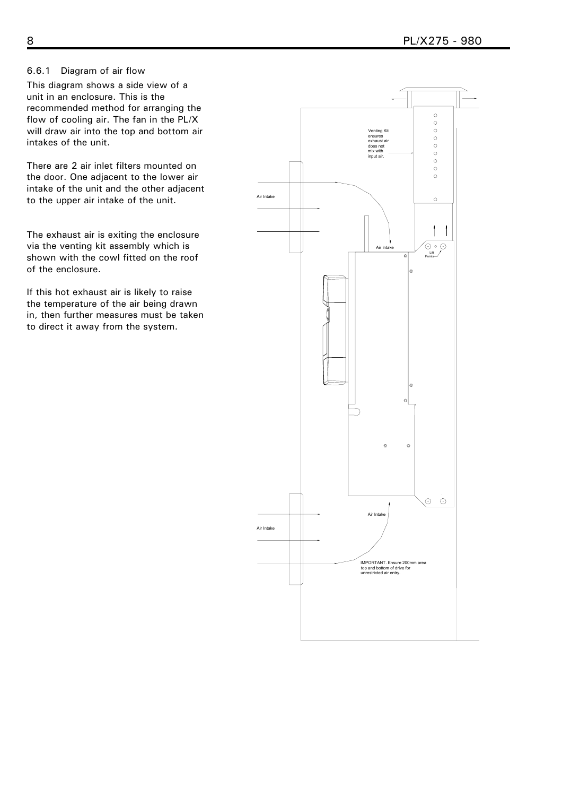#### <span id="page-9-0"></span>6.6.1 Diagram of air flow

This diagram shows a side view of a unit in an enclosure. This is the recommended method for arranging the flow of cooling air. The fan in the PL/X will draw air into the top and bottom air intakes of the unit.

There are 2 air inlet filters mounted on the door. One adjacent to the lower air intake of the unit and the other adjacent to the upper air intake of the unit.

The exhaust air is exiting the enclosure via the venting kit assembly which is shown with the cowl fitted on the roof of the enclosure.

If this hot exhaust air is likely to raise the temperature of the air being drawn in, then further measures must be taken to direct it away from the system.

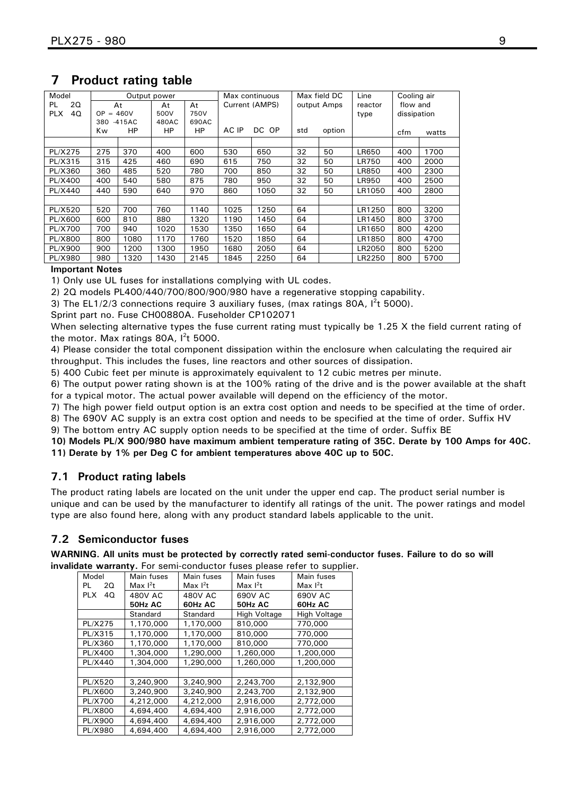| Model            |                  | Output power |       | Max continuous |       |                | Max field DC | Line   | Cooling air |             |       |
|------------------|------------------|--------------|-------|----------------|-------|----------------|--------------|--------|-------------|-------------|-------|
| 20<br>PL         |                  | At           | At    | At             |       | Current (AMPS) | output Amps  |        | reactor     | flow and    |       |
| 40<br><b>PLX</b> | <b>OP</b><br>$=$ | 460V         | 500V  | 750V           |       |                |              |        | type        | dissipation |       |
|                  | 380              | $-415AC$     | 480AC | 690AC          |       |                |              |        |             |             |       |
|                  | Κw               | HP           | HP    | <b>HP</b>      | AC IP | DC OP          | std          | option |             | cfm         | watts |
|                  |                  |              |       |                |       |                |              |        |             |             |       |
| PL/X275          | 275              | 370          | 400   | 600            | 530   | 650            | 32           | 50     | LR650       | 400         | 1700  |
| PL/X315          | 315              | 425          | 460   | 690            | 615   | 750            | 32           | 50     | LR750       | 400         | 2000  |
| PL/X360          | 360              | 485          | 520   | 780            | 700   | 850            | 32           | 50     | LR850       | 400         | 2300  |
| <b>PL/X400</b>   | 400              | 540          | 580   | 875            | 780   | 950            | 32           | 50     | LR950       | 400         | 2500  |
| <b>PL/X440</b>   | 440              | 590          | 640   | 970            | 860   | 1050           | 32           | 50     | LR1050      | 400         | 2800  |
|                  |                  |              |       |                |       |                |              |        |             |             |       |
| PL/X520          | 520              | 700          | 760   | 1140           | 1025  | 1250           | 64           |        | LR1250      | 800         | 3200  |
| PL/X600          | 600              | 810          | 880   | 1320           | 1190  | 1450           | 64           |        | LR1450      | 800         | 3700  |
| <b>PL/X700</b>   | 700              | 940          | 1020  | 1530           | 1350  | 1650           | 64           |        | LR1650      | 800         | 4200  |
| <b>PL/X800</b>   | 800              | 1080         | 1170  | 1760           | 1520  | 1850           | 64           |        | LR1850      | 800         | 4700  |
| <b>PL/X900</b>   | 900              | 1200         | 1300  | 1950           | 1680  | 2050           | 64           |        | LR2050      | 800         | 5200  |
| <b>PL/X980</b>   | 980              | 1320         | 1430  | 2145           | 1845  | 2250           | 64           |        | LR2250      | 800         | 5700  |

## <span id="page-10-0"></span>**7 Product rating table**

#### **Important Notes**

1) Only use UL fuses for installations complying with UL codes.

2) 2Q models PL400/440/700/800/900/980 have a regenerative stopping capability.

3) The EL1/2/3 connections require 3 auxiliary fuses, (max ratings 80A,  $I<sup>2</sup>$ t 5000).

Sprint part no. Fuse CH00880A. Fuseholder CP102071

When selecting alternative types the fuse current rating must typically be 1.25 X the field current rating of the motor. Max ratings 80A,  $I^2t$  5000.

4) Please consider the total component dissipation within the enclosure when calculating the required air throughput. This includes the fuses, line reactors and other sources of dissipation.

5) 400 Cubic feet per minute is approximately equivalent to 12 cubic metres per minute.

6) The output power rating shown is at the 100% rating of the drive and is the power available at the shaft for a typical motor. The actual power available will depend on the efficiency of the motor.

7) The high power field output option is an extra cost option and needs to be specified at the time of order.

8) The 690V AC supply is an extra cost option and needs to be specified at the time of order. Suffix HV 9) The bottom entry AC supply option needs to be specified at the time of order. Suffix BE

**10) Models PL/X 900/980 have maximum ambient temperature rating of 35C. Derate by 100 Amps for 40C. 11) Derate by 1% per Deg C for ambient temperatures above 40C up to 50C.** 

## **7.1 Product rating labels**

The product rating labels are located on the unit under the upper end cap. The product serial number is unique and can be used by the manufacturer to identify all ratings of the unit. The power ratings and model type are also found here, along with any product standard labels applicable to the unit.

## **7.2 Semiconductor fuses**

**WARNING. All units must be protected by correctly rated semi-conductor fuses. Failure to do so will invalidate warranty.** For semi-conductor fuses please refer to supplier.

| Model            | Main fuses     | Main fuses     | Main fuses   | Main fuses   |
|------------------|----------------|----------------|--------------|--------------|
| 20<br>PL         | Max $1^2t$     | Max $1^2t$     | Max $1^2t$   | Max $1^2t$   |
| 40<br><b>PLX</b> | <b>480V AC</b> | <b>480V AC</b> | 690V AC      | 690V AC      |
|                  | 50Hz AC        | 60Hz AC        | 50Hz AC      | 60Hz AC      |
|                  | Standard       | Standard       | High Voltage | High Voltage |
| PL/X275          | 1,170,000      | 1,170,000      | 810,000      | 770,000      |
| PL/X315          | 1,170,000      | 1,170,000      | 810,000      | 770,000      |
| PL/X360          | 1,170,000      | 1,170,000      | 810,000      | 770,000      |
| PL/X400          | 1,304,000      | 1,290,000      | 1,260,000    | 1,200,000    |
| PL/X440          | 1,304,000      | 1,290,000      | 1,260,000    | 1,200,000    |
|                  |                |                |              |              |
| PL/X520          | 3,240,900      | 3,240,900      | 2,243,700    | 2,132,900    |
| PL/X600          | 3,240,900      | 3,240,900      | 2,243,700    | 2,132,900    |
| PL/X700          | 4,212,000      | 4,212,000      | 2,916,000    | 2,772,000    |
| <b>PL/X800</b>   | 4,694,400      | 4.694,400      | 2,916,000    | 2,772,000    |
| PL/X900          | 4,694,400      | 4,694,400      | 2,916,000    | 2,772,000    |
| PL/X980          | 4,694,400      | 4,694,400      | 2,916,000    | 2,772,000    |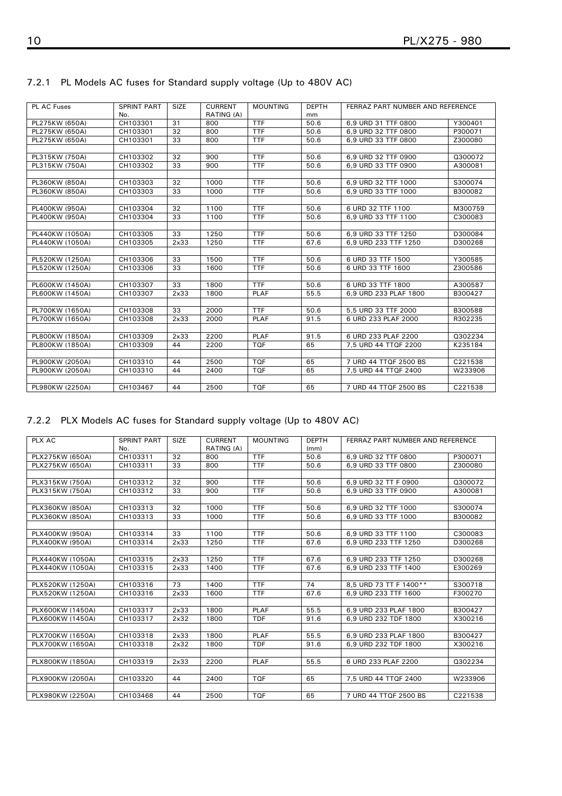| PL AC Fuses     | <b>SPRINT PART</b> | <b>SIZE</b> | <b>CURRENT</b> | <b>MOUNTING</b> | <b>DEPTH</b> | FERRAZ PART NUMBER AND REFERENCE |         |
|-----------------|--------------------|-------------|----------------|-----------------|--------------|----------------------------------|---------|
|                 | No.                |             | RATING (A)     |                 | mm           |                                  |         |
| PL275KW (650A)  | CH103301           | 31          | 800            | <b>TTF</b>      | 50.6         | 6.9 URD 31 TTF 0800              | Y300401 |
| PL275KW (650A)  | CH103301           | 32          | 800            | <b>TTF</b>      | 50.6         | 6.9 URD 32 TTF 0800              | P300071 |
| PL275KW (650A)  | CH103301           | 33          | 800            | <b>TTF</b>      | 50.6         | 6.9 URD 33 TTF 0800              | Z300080 |
|                 |                    |             |                |                 |              |                                  |         |
| PL315KW (750A)  | CH103302           | 32          | 900            | <b>TTF</b>      | 50.6         | 6,9 URD 32 TTF 0900              | Q300072 |
| PL315KW (750A)  | CH103302           | 33          | 900            | <b>TTF</b>      | 50.6         | 6.9 URD 33 TTF 0900              | A300081 |
|                 |                    |             |                |                 |              |                                  |         |
| PL360KW (850A)  | CH103303           | 32          | 1000           | <b>TTF</b>      | 50.6         | 6,9 URD 32 TTF 1000              | S300074 |
| PL360KW (850A)  | CH103303           | 33          | 1000           | <b>TTF</b>      | 50.6         | 6.9 URD 33 TTF 1000              | B300082 |
|                 |                    |             |                |                 |              |                                  |         |
| PL400KW (950A)  | CH103304           | 32          | 1100           | <b>TTF</b>      | 50.6         | 6 URD 32 TTF 1100                | M300759 |
| PL400KW (950A)  | CH103304           | 33          | 1100           | <b>TTF</b>      | 50.6         | 6.9 URD 33 TTF 1100              | C300083 |
|                 |                    |             |                |                 |              |                                  |         |
| PL440KW (1050A) | CH103305           | 33          | 1250           | <b>TTF</b>      | 50.6         | 6,9 URD 33 TTF 1250              | D300084 |
| PL440KW (1050A) | CH103305           | 2x33        | 1250           | <b>TTF</b>      | 67.6         | 6.9 URD 233 TTF 1250             | D300268 |
|                 |                    |             |                |                 |              |                                  |         |
| PL520KW (1250A) | CH103306           | 33          | 1500           | <b>TTF</b>      | 50.6         | 6 URD 33 TTF 1500                | Y300585 |
| PL520KW (1250A) | CH103306           | 33          | 1600           | <b>TTF</b>      | 50.6         | 6 URD 33 TTF 1600                | Z300586 |
|                 |                    |             |                |                 |              |                                  |         |
| PL600KW (1450A) | CH103307           | 33          | 1800           | <b>TTF</b>      | 50.6         | 6 URD 33 TTF 1800                | A300587 |
| PL600KW (1450A) | CH103307           | 2x33        | 1800           | <b>PLAF</b>     | 55.5         | 6.9 URD 233 PLAF 1800            | B300427 |
|                 |                    |             |                |                 |              |                                  |         |
| PL700KW (1650A) | CH103308           | 33          | 2000           | <b>TTF</b>      | 50.6         | 5.5 URD 33 TTF 2000              | B300588 |
| PL700KW (1650A) | CH103308           | 2x33        | 2000           | <b>PLAF</b>     | 91.5         | 6 URD 233 PLAF 2000              | R302235 |
|                 |                    |             |                |                 |              |                                  |         |
| PL800KW (1850A) | CH103309           | 2x33        | 2200           | <b>PLAF</b>     | 91.5         | 6 URD 233 PLAF 2200              | Q302234 |
| PL800KW (1850A) | CH103309           | 44          | 2200           | <b>TQF</b>      | 65           | 7,5 URD 44 TTQF 2200             | K235184 |
|                 |                    |             |                |                 |              |                                  |         |
| PL900KW (2050A) | CH103310           | 44          | 2500           | <b>TOF</b>      | 65           | 7 URD 44 TTQF 2500 BS            | C221538 |
| PL900KW (2050A) | CH103310           | 44          | 2400           | <b>TQF</b>      | 65           | 7,5 URD 44 TTQF 2400             | W233906 |
|                 |                    |             |                |                 |              |                                  |         |
| PL980KW (2250A) | CH103467           | 44          | 2500           | <b>TQF</b>      | 65           | 7 URD 44 TTOF 2500 BS            | C221538 |

### <span id="page-11-0"></span>7.2.1 PL Models AC fuses for Standard supply voltage (Up to 480V AC)

### 7.2.2 PLX Models AC fuses for Standard supply voltage (Up to 480V AC)

| PLX AC           | <b>SPRINT PART</b> | <b>SIZE</b> | <b>CURRENT</b> | <b>MOUNTING</b> | <b>DEPTH</b> | FERRAZ PART NUMBER AND REFERENCE |         |
|------------------|--------------------|-------------|----------------|-----------------|--------------|----------------------------------|---------|
|                  | No.                |             | RATING (A)     |                 | (mm)         |                                  |         |
| PLX275KW (650A)  | CH103311           | 32          | 800            | <b>TTF</b>      | 50.6         | 6.9 URD 32 TTF 0800              | P300071 |
| PLX275KW (650A)  | CH103311           | 33          | 800            | <b>TTF</b>      | 50.6         | 6.9 URD 33 TTF 0800              | Z300080 |
|                  |                    |             |                |                 |              |                                  |         |
| PLX315KW (750A)  | CH103312           | 32          | 900            | <b>TTF</b>      | 50.6         | 6,9 URD 32 TT F 0900             | 0300072 |
| PLX315KW (750A)  | CH103312           | 33          | 900            | <b>TTF</b>      | 50.6         | 6.9 URD 33 TTF 0900              | A300081 |
|                  |                    |             |                |                 |              |                                  |         |
| PLX360KW (850A)  | CH103313           | 32          | 1000           | <b>TTF</b>      | 50.6         | 6.9 URD 32 TTF 1000              | S300074 |
| PLX360KW (850A)  | CH103313           | 33          | 1000           | <b>TTF</b>      | 50.6         | 6.9 URD 33 TTF 1000              | B300082 |
|                  |                    |             |                |                 |              |                                  |         |
| PLX400KW (950A)  | CH103314           | 33          | 1100           | <b>TTF</b>      | 50.6         | 6.9 URD 33 TTF 1100              | C300083 |
| PLX400KW (950A)  | CH103314           | 2x33        | 1250           | <b>TTF</b>      | 67.6         | 6.9 URD 233 TTF 1250             | D300268 |
|                  |                    |             |                |                 |              |                                  |         |
| PLX440KW (1050A) | CH103315           | 2x33        | 1250           | <b>TTF</b>      | 67.6         | 6.9 URD 233 TTF 1250             | D300268 |
| PLX440KW (1050A) | CH103315           | 2x33        | 1400           | <b>TTF</b>      | 67.6         | 6,9 URD 233 TTF 1400             | E300269 |
|                  |                    |             |                |                 |              |                                  |         |
| PLX520KW (1250A) | CH103316           | 73          | 1400           | <b>TTF</b>      | 74           | 8.5 URD 73 TT F 1400**           | S300718 |
| PLX520KW (1250A) | CH103316           | 2x33        | 1600           | <b>TTF</b>      | 67.6         | 6.9 URD 233 TTF 1600             | F300270 |
|                  |                    |             |                |                 |              |                                  |         |
| PLX600KW (1450A) | CH103317           | 2x33        | 1800           | PLAF            | 55.5         | 6.9 URD 233 PLAF 1800            | B300427 |
| PLX600KW (1450A) | CH103317           | 2x32        | 1800           | <b>TDF</b>      | 91.6         | 6.9 URD 232 TDF 1800             | X300216 |
|                  |                    |             |                |                 |              |                                  |         |
| PLX700KW (1650A) | CH103318           | 2x33        | 1800           | PLAF            | 55.5         | 6.9 URD 233 PLAF 1800            | B300427 |
| PLX700KW (1650A) | CH103318           | 2x32        | 1800           | <b>TDF</b>      | 91.6         | 6.9 URD 232 TDF 1800             | X300216 |
|                  |                    |             |                |                 |              |                                  |         |
| PLX800KW (1850A) | CH103319           | 2x33        | 2200           | <b>PLAF</b>     | 55.5         | 6 URD 233 PLAF 2200              | Q302234 |
|                  |                    |             |                |                 |              |                                  |         |
| PLX900KW (2050A) | CH103320           | 44          | 2400           | <b>TQF</b>      | 65           | 7,5 URD 44 TTQF 2400             | W233906 |
|                  |                    |             |                |                 |              |                                  |         |
| PLX980KW (2250A) | CH103468           | 44          | 2500           | <b>TOF</b>      | 65           | 7 URD 44 TTQF 2500 BS            | C221538 |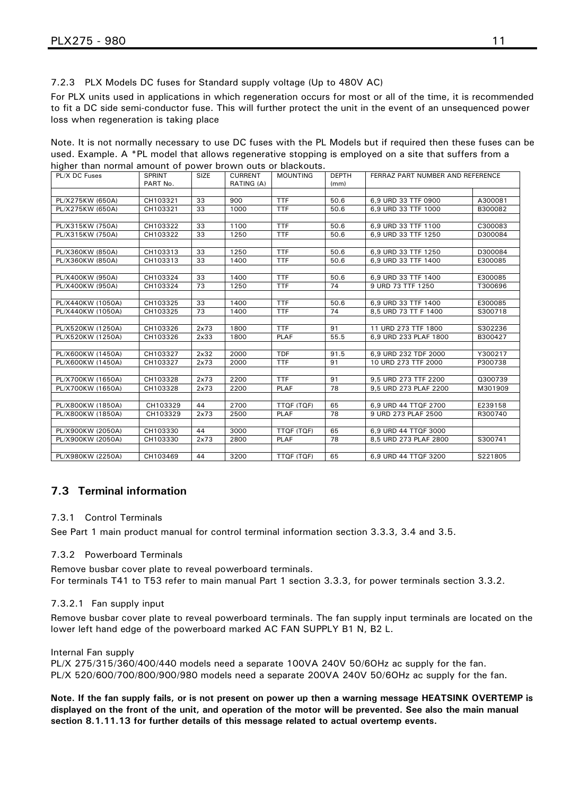<span id="page-12-0"></span>7.2.3 PLX Models DC fuses for Standard supply voltage (Up to 480V AC)

For PLX units used in applications in which regeneration occurs for most or all of the time, it is recommended to fit a DC side semi-conductor fuse. This will further protect the unit in the event of an unsequenced power loss when regeneration is taking place

Note. It is not normally necessary to use DC fuses with the PL Models but if required then these fuses can be used. Example. A \*PL model that allows regenerative stopping is employed on a site that suffers from a higher than normal amount of power brown outs or blackouts.

| PL/X DC Fuses     | <b>SPRINT</b> | <b>SIZE</b> | <b>CURRENT</b> | <b>MOUNTING</b> | <b>DEPTH</b> | FERRAZ PART NUMBER AND REFERENCE |         |
|-------------------|---------------|-------------|----------------|-----------------|--------------|----------------------------------|---------|
|                   | PART No.      |             | RATING (A)     |                 | (mm)         |                                  |         |
|                   |               |             |                |                 |              |                                  |         |
| PL/X275KW (650A)  | CH103321      | 33          | 900            | <b>TTF</b>      | 50.6         | 6.9 URD 33 TTF 0900              | A300081 |
| PL/X275KW (650A)  | CH103321      | 33          | 1000           | <b>TTF</b>      | 50.6         | 6.9 URD 33 TTF 1000              | B300082 |
|                   |               |             |                |                 |              |                                  |         |
| PL/X315KW (750A)  | CH103322      | 33          | 1100           | <b>TTF</b>      | 50.6         | 6.9 URD 33 TTF 1100              | C300083 |
| PL/X315KW (750A)  | CH103322      | 33          | 1250           | <b>TTF</b>      | 50.6         | 6.9 URD 33 TTF 1250              | D300084 |
|                   |               |             |                |                 |              |                                  |         |
| PL/X360KW (850A)  | CH103313      | 33          | 1250           | <b>TTF</b>      | 50.6         | 6.9 URD 33 TTF 1250              | D300084 |
| PL/X360KW (850A)  | CH103313      | 33          | 1400           | <b>TTF</b>      | 50.6         | 6.9 URD 33 TTF 1400              | E300085 |
|                   |               |             |                |                 |              |                                  |         |
| PL/X400KW (950A)  | CH103324      | 33          | 1400           | <b>TTF</b>      | 50.6         | 6.9 URD 33 TTF 1400              | E300085 |
| PL/X400KW (950A)  | CH103324      | 73          | 1250           | <b>TTF</b>      | 74           | 9 URD 73 TTF 1250                | T300696 |
|                   |               |             |                | <b>TTF</b>      |              |                                  |         |
| PL/X440KW (1050A) | CH103325      | 33          | 1400           |                 | 50.6         | 6.9 URD 33 TTF 1400              | E300085 |
| PL/X440KW (1050A) | CH103325      | 73          | 1400           | <b>TTF</b>      | 74           | 8.5 URD 73 TT F 1400             | S300718 |
|                   |               |             |                |                 |              |                                  |         |
| PL/X520KW (1250A) | CH103326      | 2x73        | 1800           | <b>TTF</b>      | 91           | 11 URD 273 TTF 1800              | S302236 |
| PL/X520KW (1250A) | CH103326      | 2x33        | 1800           | <b>PLAF</b>     | 55.5         | 6.9 URD 233 PLAF 1800            | B300427 |
|                   |               |             |                |                 |              |                                  |         |
| PL/X600KW (1450A) | CH103327      | 2x32        | 2000           | <b>TDF</b>      | 91.5         | 6.9 URD 232 TDF 2000             | Y300217 |
| PL/X600KW (1450A) | CH103327      | 2x73        | 2000           | <b>TTF</b>      | 91           | 10 URD 273 TTF 2000              | P300738 |
|                   |               |             | 2200           | <b>TTF</b>      | 91           |                                  |         |
| PL/X700KW (1650A) | CH103328      | 2x73        |                |                 |              | 9,5 URD 273 TTF 2200             | Q300739 |
| PL/X700KW (1650A) | CH103328      | 2x73        | 2200           | <b>PLAF</b>     | 78           | 9.5 URD 273 PLAF 2200            | M301909 |
|                   |               |             |                |                 | 65           |                                  |         |
| PL/X800KW (1850A) | CH103329      | 44          | 2700           | TTQF (TQF)      |              | 6.9 URD 44 TTQF 2700             | E239158 |
| PL/X800KW (1850A) | CH103329      | 2x73        | 2500           | <b>PLAF</b>     | 78           | 9 URD 273 PLAF 2500              | R300740 |
|                   | CH103330      | 44          | 3000           |                 | 65           |                                  |         |
| PL/X900KW (2050A) |               |             |                | TTQF (TQF)      | 78           | 6,9 URD 44 TTQF 3000             |         |
| PL/X900KW (2050A) | CH103330      | 2x73        | 2800           | <b>PLAF</b>     |              | 8.5 URD 273 PLAF 2800            | S300741 |
|                   |               |             |                |                 |              |                                  |         |
| PL/X980KW (2250A) | CH103469      | 44          | 3200           | TTQF (TQF)      | 65           | 6.9 URD 44 TTQF 3200             | S221805 |

## **7.3 Terminal information**

#### 7.3.1 Control Terminals

See Part 1 main product manual for control terminal information section 3.3.3, 3.4 and 3.5.

#### 7.3.2 Powerboard Terminals

Remove busbar cover plate to reveal powerboard terminals. For terminals T41 to T53 refer to main manual Part 1 section 3.3.3, for power terminals section 3.3.2.

#### 7.3.2.1 Fan supply input

Remove busbar cover plate to reveal powerboard terminals. The fan supply input terminals are located on the lower left hand edge of the powerboard marked AC FAN SUPPLY B1 N, B2 L.

#### Internal Fan supply

PL/X 275/315/360/400/440 models need a separate 100VA 240V 50/6OHz ac supply for the fan. PL/X 520/600/700/800/900/980 models need a separate 200VA 240V 50/6OHz ac supply for the fan.

**Note. If the fan supply fails, or is not present on power up then a warning message HEATSINK OVERTEMP is displayed on the front of the unit, and operation of the motor will be prevented. See also the main manual section 8.1.11.13 for further details of this message related to actual overtemp events.**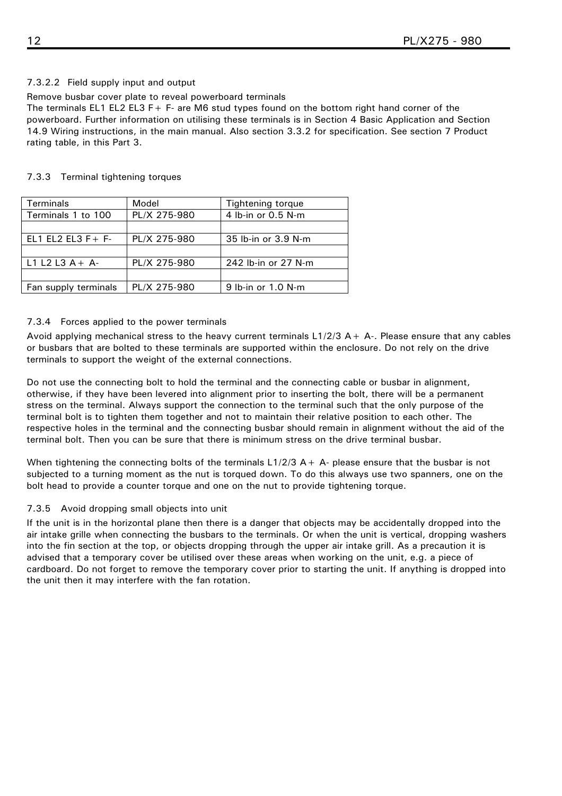### <span id="page-13-0"></span>7.3.2.2 Field supply input and output

Remove busbar cover plate to reveal powerboard terminals

The terminals EL1 EL2 EL3 F+ F- are M6 stud types found on the bottom right hand corner of the powerboard. Further information on utilising these terminals is in Section 4 Basic Application and Section 14.9 Wiring instructions, in the main manual. Also section 3.3.2 for specification. See section [7 Product](#page-10-0)  [rating table,](#page-10-0) in this Part 3.

| Terminals             | Model        | <b>Tightening torque</b> |  |
|-----------------------|--------------|--------------------------|--|
| Terminals 1 to 100    | PL/X 275-980 | 4 lb-in or 0.5 N-m       |  |
|                       |              |                          |  |
| EL1 EL2 EL3 $F + F -$ | PL/X 275-980 | 35 lb-in or 3.9 N-m      |  |
|                       |              |                          |  |
| $L1 L2 L3 A + A$      | PL/X 275-980 | 242 lb-in or 27 N-m      |  |
|                       |              |                          |  |
| Fan supply terminals  | PL/X 275-980 | 9 lb-in or 1.0 N-m       |  |

#### 7.3.3 Terminal tightening torques

#### 7.3.4 Forces applied to the power terminals

Avoid applying mechanical stress to the heavy current terminals  $L1/2/3$  A + A-. Please ensure that any cables or busbars that are bolted to these terminals are supported within the enclosure. Do not rely on the drive terminals to support the weight of the external connections.

Do not use the connecting bolt to hold the terminal and the connecting cable or busbar in alignment, otherwise, if they have been levered into alignment prior to inserting the bolt, there will be a permanent stress on the terminal. Always support the connection to the terminal such that the only purpose of the terminal bolt is to tighten them together and not to maintain their relative position to each other. The respective holes in the terminal and the connecting busbar should remain in alignment without the aid of the terminal bolt. Then you can be sure that there is minimum stress on the drive terminal busbar.

When tightening the connecting bolts of the terminals  $L1/2/3$  A + A- please ensure that the busbar is not subjected to a turning moment as the nut is torqued down. To do this always use two spanners, one on the bolt head to provide a counter torque and one on the nut to provide tightening torque.

#### 7.3.5 Avoid dropping small objects into unit

If the unit is in the horizontal plane then there is a danger that objects may be accidentally dropped into the air intake grille when connecting the busbars to the terminals. Or when the unit is vertical, dropping washers into the fin section at the top, or objects dropping through the upper air intake grill. As a precaution it is advised that a temporary cover be utilised over these areas when working on the unit, e.g. a piece of cardboard. Do not forget to remove the temporary cover prior to starting the unit. If anything is dropped into the unit then it may interfere with the fan rotation.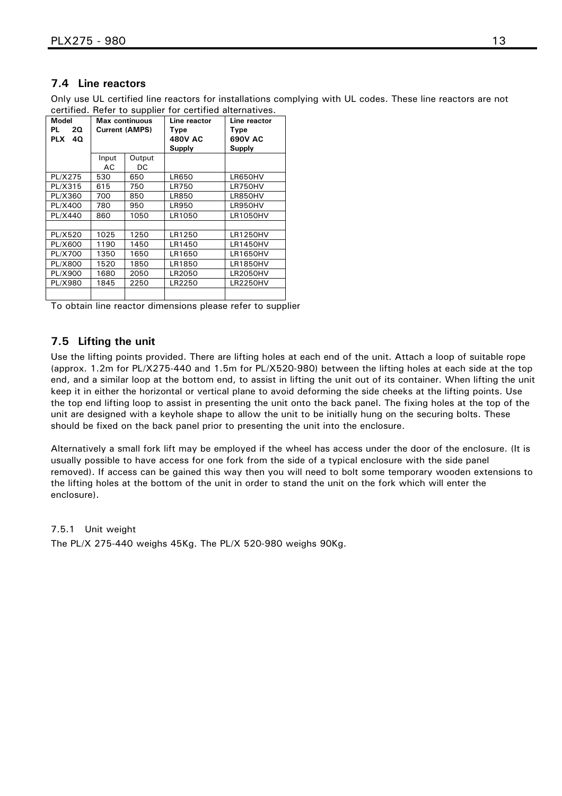## <span id="page-14-0"></span>**7.4 Line reactors**

Only use UL certified line reactors for installations complying with UL codes. These line reactors are not certified. Refer to supplier for certified alternatives.

| <b>Model</b><br>PL<br>20.<br><b>PLX</b><br>40 | <b>Max continuous</b><br><b>Current (AMPS)</b> |              | Line reactor<br>Type<br><b>480V AC</b><br>Supply | Line reactor<br>Type<br>690V AC<br>Supply |
|-----------------------------------------------|------------------------------------------------|--------------|--------------------------------------------------|-------------------------------------------|
|                                               | Input<br>AC                                    | Output<br>DC |                                                  |                                           |
| PL/X275                                       | 530                                            | 650          | <b>LR650</b>                                     | LR650HV                                   |
| PL/X315                                       | 615                                            | 750          | LR750                                            | LR750HV                                   |
| PL/X360                                       | 700                                            | 850          | <b>LR850</b>                                     | LR850HV                                   |
| PL/X400                                       | 780                                            | 950          | LR950                                            | LR950HV                                   |
| PL/X440                                       | 860                                            | 1050         | LR1050                                           | <b>LR1050HV</b>                           |
|                                               |                                                |              |                                                  |                                           |
| PL/X520                                       | 1025                                           | 1250         | LR1250                                           | <b>LR1250HV</b>                           |
| PL/X600                                       | 1190                                           | 1450         | LR1450                                           | <b>LR1450HV</b>                           |
| PL/X700                                       | 1350                                           | 1650         | LR1650                                           | LR1650HV                                  |
| PL/X800                                       | 1520                                           | 1850         | LR1850                                           | <b>LR1850HV</b>                           |
| PL/X900                                       | 1680                                           | 2050         | LR2050                                           | <b>LR2050HV</b>                           |
| PL/X980                                       | 1845                                           | 2250         | LR2250                                           | <b>LR2250HV</b>                           |
|                                               |                                                |              |                                                  |                                           |

To obtain line reactor dimensions please refer to supplier

## **7.5 Lifting the unit**

Use the lifting points provided. There are lifting holes at each end of the unit. Attach a loop of suitable rope (approx. 1.2m for PL/X275-440 and 1.5m for PL/X520-980) between the lifting holes at each side at the top end, and a similar loop at the bottom end, to assist in lifting the unit out of its container. When lifting the unit keep it in either the horizontal or vertical plane to avoid deforming the side cheeks at the lifting points. Use the top end lifting loop to assist in presenting the unit onto the back panel. The fixing holes at the top of the unit are designed with a keyhole shape to allow the unit to be initially hung on the securing bolts. These should be fixed on the back panel prior to presenting the unit into the enclosure.

Alternatively a small fork lift may be employed if the wheel has access under the door of the enclosure. (It is usually possible to have access for one fork from the side of a typical enclosure with the side panel removed). If access can be gained this way then you will need to bolt some temporary wooden extensions to the lifting holes at the bottom of the unit in order to stand the unit on the fork which will enter the enclosure).

#### 7.5.1 Unit weight

The PL/X 275-440 weighs 45Kg. The PL/X 520-980 weighs 90Kg.